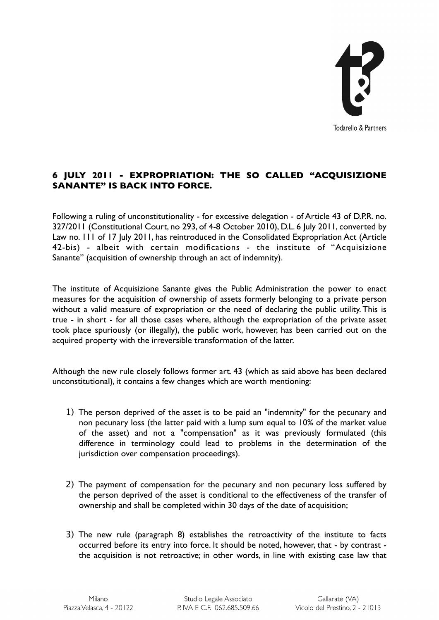

## **6 JULY 2011 - EXPROPRIATION: THE SO CALLED "ACQUISIZIONE SANANTE" IS BACK INTO FORCE.**

Following a ruling of unconstitutionality - for excessive delegation - of Article 43 of D.P.R. no. 327/2011 (Constitutional Court, no 293, of 4-8 October 2010), D.L. 6 July 2011, converted by Law no. 111 of 17 July 2011, has reintroduced in the Consolidated Expropriation Act (Article 42-bis) - albeit with certain modifications - the institute of "Acquisizione Sanante" (acquisition of ownership through an act of indemnity).

The institute of Acquisizione Sanante gives the Public Administration the power to enact measures for the acquisition of ownership of assets formerly belonging to a private person without a valid measure of expropriation or the need of declaring the public utility. This is true - in short - for all those cases where, although the expropriation of the private asset took place spuriously (or illegally), the public work, however, has been carried out on the acquired property with the irreversible transformation of the latter.

Although the new rule closely follows former art. 43 (which as said above has been declared unconstitutional), it contains a few changes which are worth mentioning:

- 1) The person deprived of the asset is to be paid an "indemnity" for the pecunary and non pecunary loss (the latter paid with a lump sum equal to 10% of the market value of the asset) and not a "compensation" as it was previously formulated (this difference in terminology could lead to problems in the determination of the jurisdiction over compensation proceedings).
- 2) The payment of compensation for the pecunary and non pecunary loss suffered by the person deprived of the asset is conditional to the effectiveness of the transfer of ownership and shall be completed within 30 days of the date of acquisition;
- 3) The new rule (paragraph 8) establishes the retroactivity of the institute to facts occurred before its entry into force. It should be noted, however, that - by contrast the acquisition is not retroactive; in other words, in line with existing case law that